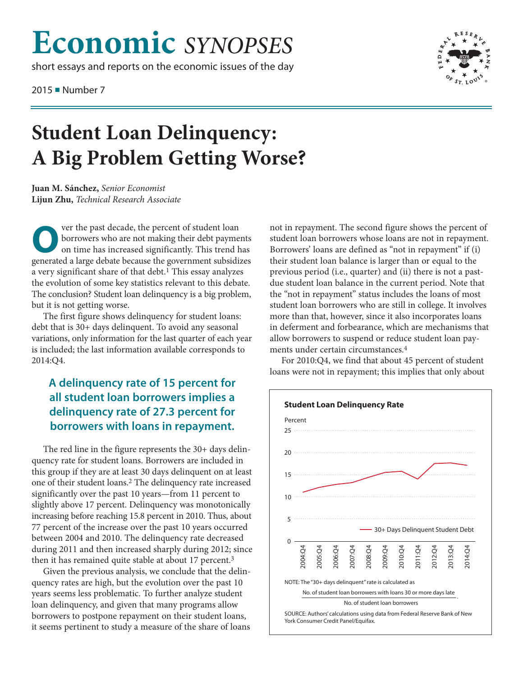# **Economic** *SYNOPSES*

short essays and reports on the economic issues of the day

2015 ■ Number 7



## **Student Loan Delinquency: A Big Problem Getting Worse?**

**Juan M. Sánchez,** *Senior Economist* **Lijun Zhu,** *Technical Research Associate*

Ver the past decade, the percent of student loan<br>borrowers who are not making their debt payme<br>on time has increased significantly. This trend l borrowers who are not making their debt payments on time has increased significantly. This trend has generated a large debate because the government subsidizes a very significant share of that debt. 1 This essay analyzes the evolution of some key statistics relevant to this debate. The conclusion? Student loan delinquency is a big problem, but it is not getting worse.

The first figure shows delinquency for student loans: debt that is 30+ days delinquent. To avoid any seasonal variations, only information for the last quarter of each year is included; the last information available corresponds to 2014:Q4.

### **A delinquency rate of 15 percent for all student loan borrowers implies a delinquency rate of 27.3 percent for borrowers with loans in repayment.**

The red line in the figure represents the 30+ days delinquency rate for student loans. Borrowers are included in this group if they are at least 30 days delinquent on at least one of their student loans. 2 The delinquency rate increased significantly over the past 10 years—from 11 percent to slightly above 17 percent. Delinquency was monotonically increasing before reaching 15.8 percent in 2010. Thus, about 77 percent of the increase over the past 10 years occurred between 2004 and 2010. The delinquency rate decreased during 2011 and then increased sharply during 2012; since then it has remained quite stable at about 17 percent.<sup>3</sup>

Given the previous analysis, we conclude that the delinquency rates are high, but the evolution over the past 10 years seems less problematic. To further analyze student loan delinquency, and given that many programs allow borrowers to postpone repayment on their student loans, it seems pertinent to study a measure of the share of loans not in repayment. The second figure shows the percent of student loan borrowers whose loans are not in repayment. Borrowers' loans are defined as "not in repayment" if (i) their student loan balance is larger than or equal to the previous period (i.e., quarter) and (ii) there is not a pastdue student loan balance in the current period. Note that the "not in repayment" status includes the loans of most student loan borrowers who are still in college. It involves more than that, however, since it also incorporates loans in deferment and forbearance, which are mechanisms that allow borrowers to suspend or reduce student loan payments under certain circumstances. 4

For 2010:Q4, we find that about 45 percent of student loans were not in repayment; this implies that only about